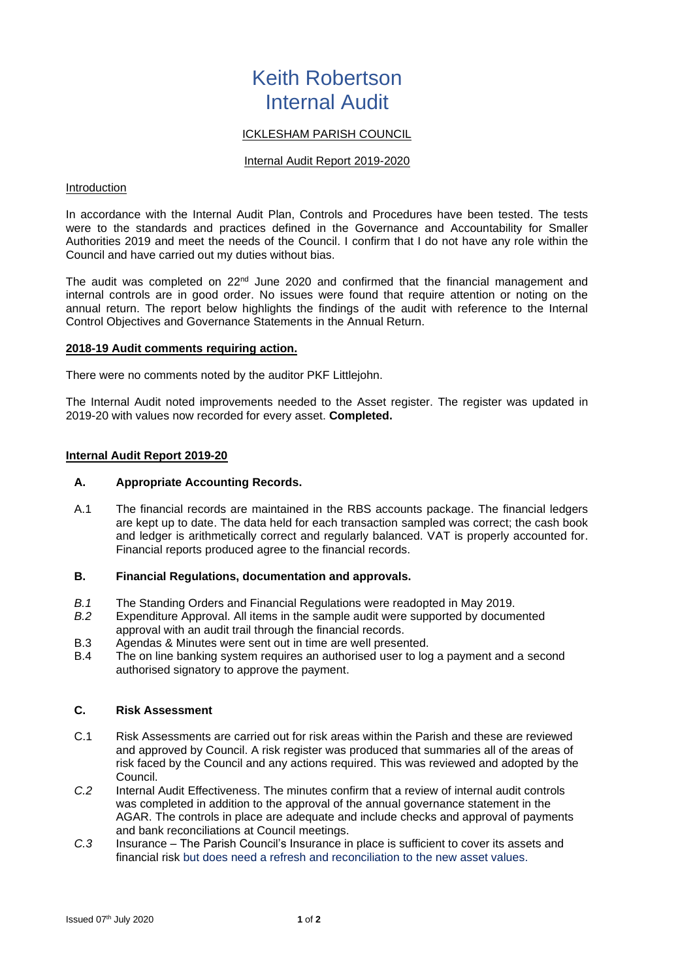# Keith Robertson Internal Audit

## ICKLESHAM PARISH COUNCIL

#### Internal Audit Report 2019-2020

#### Introduction

In accordance with the Internal Audit Plan, Controls and Procedures have been tested. The tests were to the standards and practices defined in the Governance and Accountability for Smaller Authorities 2019 and meet the needs of the Council. I confirm that I do not have any role within the Council and have carried out my duties without bias.

The audit was completed on  $22<sup>nd</sup>$  June 2020 and confirmed that the financial management and internal controls are in good order. No issues were found that require attention or noting on the annual return. The report below highlights the findings of the audit with reference to the Internal Control Objectives and Governance Statements in the Annual Return.

#### **2018-19 Audit comments requiring action.**

There were no comments noted by the auditor PKF Littlejohn.

The Internal Audit noted improvements needed to the Asset register. The register was updated in 2019-20 with values now recorded for every asset. **Completed.**

#### **Internal Audit Report 2019-20**

#### **A. Appropriate Accounting Records.**

A.1 The financial records are maintained in the RBS accounts package. The financial ledgers are kept up to date. The data held for each transaction sampled was correct; the cash book and ledger is arithmetically correct and regularly balanced. VAT is properly accounted for. Financial reports produced agree to the financial records.

#### **B. Financial Regulations, documentation and approvals.**

- *B.1* The Standing Orders and Financial Regulations were readopted in May 2019.
- *B.2* Expenditure Approval. All items in the sample audit were supported by documented approval with an audit trail through the financial records.
- B.3 Agendas & Minutes were sent out in time are well presented.
- B.4 The on line banking system requires an authorised user to log a payment and a second authorised signatory to approve the payment.

#### **C. Risk Assessment**

- C.1 Risk Assessments are carried out for risk areas within the Parish and these are reviewed and approved by Council. A risk register was produced that summaries all of the areas of risk faced by the Council and any actions required. This was reviewed and adopted by the Council.
- *C.2* Internal Audit Effectiveness. The minutes confirm that a review of internal audit controls was completed in addition to the approval of the annual governance statement in the AGAR. The controls in place are adequate and include checks and approval of payments and bank reconciliations at Council meetings.
- *C.3* Insurance The Parish Council's Insurance in place is sufficient to cover its assets and financial risk but does need a refresh and reconciliation to the new asset values.